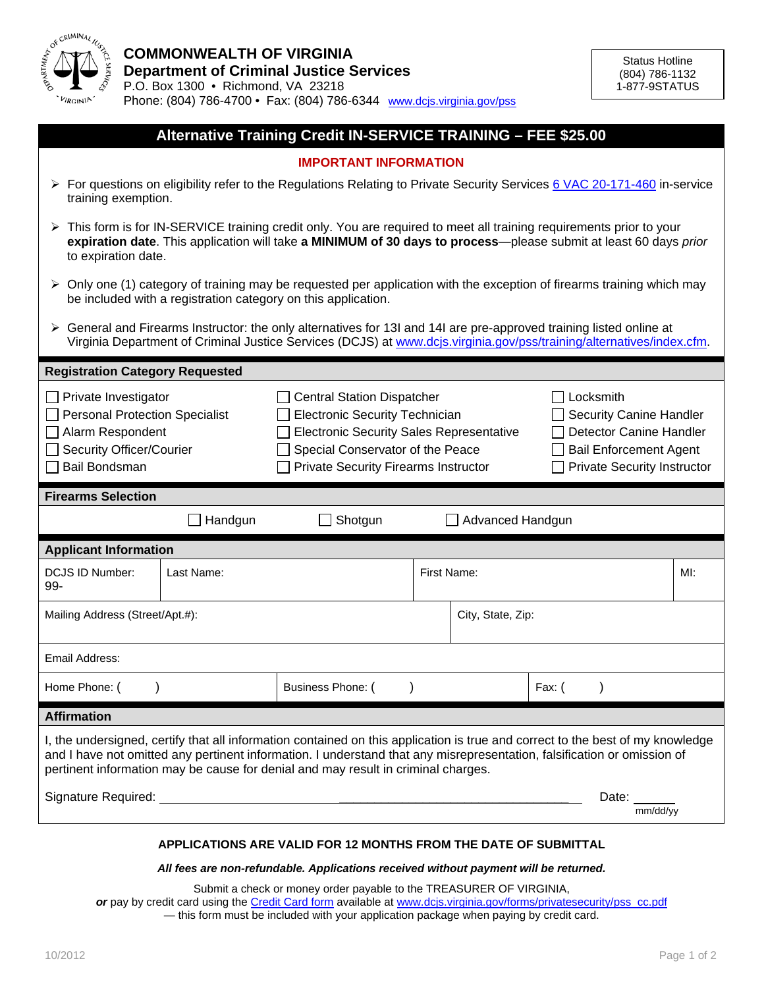

| Alternative Training Credit IN-SERVICE TRAINING - FEE \$25.00                                                                                                                                                                                                   |            |                                                                                                                                                                                                                                                                                                                                                |             |                   |        |                                                                                                                                                      |     |
|-----------------------------------------------------------------------------------------------------------------------------------------------------------------------------------------------------------------------------------------------------------------|------------|------------------------------------------------------------------------------------------------------------------------------------------------------------------------------------------------------------------------------------------------------------------------------------------------------------------------------------------------|-------------|-------------------|--------|------------------------------------------------------------------------------------------------------------------------------------------------------|-----|
| <b>IMPORTANT INFORMATION</b>                                                                                                                                                                                                                                    |            |                                                                                                                                                                                                                                                                                                                                                |             |                   |        |                                                                                                                                                      |     |
| ≻ For questions on eligibility refer to the Regulations Relating to Private Security Services 6 VAC 20-171-460 in-service<br>training exemption.                                                                                                                |            |                                                                                                                                                                                                                                                                                                                                                |             |                   |        |                                                                                                                                                      |     |
| ► This form is for IN-SERVICE training credit only. You are required to meet all training requirements prior to your<br>expiration date. This application will take a MINIMUM of 30 days to process-please submit at least 60 days prior<br>to expiration date. |            |                                                                                                                                                                                                                                                                                                                                                |             |                   |        |                                                                                                                                                      |     |
| $\triangleright$ Only one (1) category of training may be requested per application with the exception of firearms training which may<br>be included with a registration category on this application.                                                          |            |                                                                                                                                                                                                                                                                                                                                                |             |                   |        |                                                                                                                                                      |     |
| ► General and Firearms Instructor: the only alternatives for 13I and 14I are pre-approved training listed online at<br>Virginia Department of Criminal Justice Services (DCJS) at www.dcjs.virginia.gov/pss/training/alternatives/index.cfm.                    |            |                                                                                                                                                                                                                                                                                                                                                |             |                   |        |                                                                                                                                                      |     |
| <b>Registration Category Requested</b>                                                                                                                                                                                                                          |            |                                                                                                                                                                                                                                                                                                                                                |             |                   |        |                                                                                                                                                      |     |
| Private Investigator<br><b>Personal Protection Specialist</b><br>Alarm Respondent<br><b>Security Officer/Courier</b><br><b>Bail Bondsman</b>                                                                                                                    |            | <b>Central Station Dispatcher</b><br><b>Electronic Security Technician</b><br><b>Electronic Security Sales Representative</b><br>Special Conservator of the Peace<br><b>Private Security Firearms Instructor</b>                                                                                                                               |             |                   |        | Locksmith<br><b>Security Canine Handler</b><br><b>Detector Canine Handler</b><br><b>Bail Enforcement Agent</b><br><b>Private Security Instructor</b> |     |
|                                                                                                                                                                                                                                                                 |            |                                                                                                                                                                                                                                                                                                                                                |             |                   |        |                                                                                                                                                      |     |
| <b>Firearms Selection</b>                                                                                                                                                                                                                                       |            |                                                                                                                                                                                                                                                                                                                                                |             |                   |        |                                                                                                                                                      |     |
|                                                                                                                                                                                                                                                                 | Handgun    | Shotgun                                                                                                                                                                                                                                                                                                                                        |             | Advanced Handgun  |        |                                                                                                                                                      |     |
| <b>Applicant Information</b>                                                                                                                                                                                                                                    |            |                                                                                                                                                                                                                                                                                                                                                |             |                   |        |                                                                                                                                                      |     |
| <b>DCJS ID Number:</b><br>99-                                                                                                                                                                                                                                   | Last Name: |                                                                                                                                                                                                                                                                                                                                                | First Name: |                   |        |                                                                                                                                                      | MI: |
| Mailing Address (Street/Apt.#):                                                                                                                                                                                                                                 |            |                                                                                                                                                                                                                                                                                                                                                |             | City, State, Zip: |        |                                                                                                                                                      |     |
| Email Address:                                                                                                                                                                                                                                                  |            |                                                                                                                                                                                                                                                                                                                                                |             |                   |        |                                                                                                                                                      |     |
| Home Phone: (                                                                                                                                                                                                                                                   |            | Business Phone: (                                                                                                                                                                                                                                                                                                                              |             |                   | Fax: ( |                                                                                                                                                      |     |
| <b>Affirmation</b>                                                                                                                                                                                                                                              |            |                                                                                                                                                                                                                                                                                                                                                |             |                   |        |                                                                                                                                                      |     |
|                                                                                                                                                                                                                                                                 |            | I, the undersigned, certify that all information contained on this application is true and correct to the best of my knowledge<br>and I have not omitted any pertinent information. I understand that any misrepresentation, falsification or omission of<br>pertinent information may be cause for denial and may result in criminal charges. |             |                   |        |                                                                                                                                                      |     |
|                                                                                                                                                                                                                                                                 |            | Signature Required: <u>contract and contract and contract and contract and contract and contract and contract and contract and contract and contract and contract and contract and contract and contract and contract and contra</u>                                                                                                           |             |                   |        | Date: $\_\_$<br>mm/dd/yy                                                                                                                             |     |

## *All fees are non-refundable. Applications received without payment will be returned.*

Submit a check or money order payable to the TREASURER OF VIRGINIA,

*or* pay by credit card using the [Credit Card form](http://www.dcjs.virginia.gov/forms/privatesecurity/pss_cc.pdf) available at [www.dcjs.virginia.gov/forms/privatesecurity/pss\\_cc.pdf](http://www.dcjs.virginia.gov/forms/privatesecurity/pss_cc.pdf)

— this form must be included with your application package when paying by credit card.